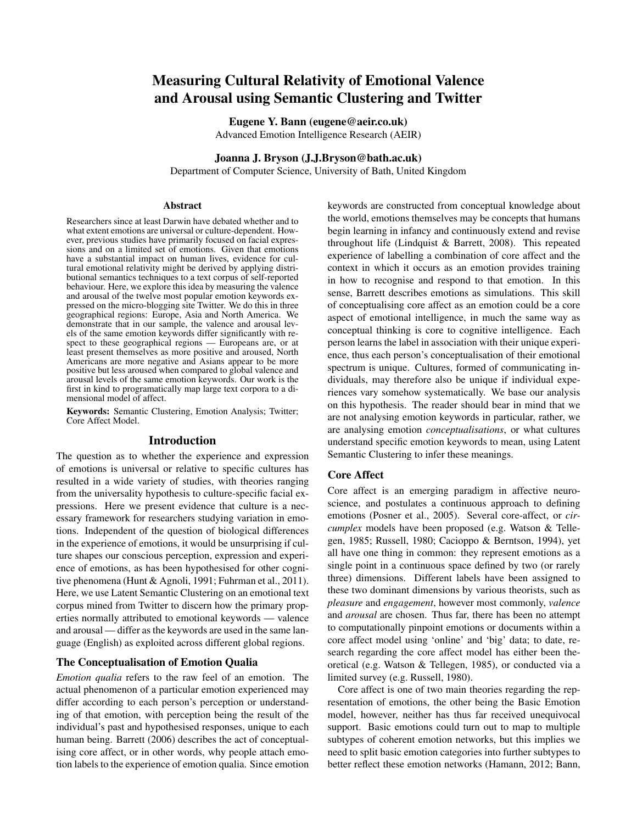# Measuring Cultural Relativity of Emotional Valence and Arousal using Semantic Clustering and Twitter

Eugene Y. Bann (eugene@aeir.co.uk) Advanced Emotion Intelligence Research (AEIR)

Joanna J. Bryson (J.J.Bryson@bath.ac.uk)

Department of Computer Science, University of Bath, United Kingdom

#### Abstract

Researchers since at least Darwin have debated whether and to what extent emotions are universal or culture-dependent. However, previous studies have primarily focused on facial expressions and on a limited set of emotions. Given that emotions have a substantial impact on human lives, evidence for cultural emotional relativity might be derived by applying distributional semantics techniques to a text corpus of self-reported behaviour. Here, we explore this idea by measuring the valence and arousal of the twelve most popular emotion keywords expressed on the micro-blogging site Twitter. We do this in three geographical regions: Europe, Asia and North America. We demonstrate that in our sample, the valence and arousal levels of the same emotion keywords differ significantly with respect to these geographical regions — Europeans are, or at least present themselves as more positive and aroused, North Americans are more negative and Asians appear to be more positive but less aroused when compared to global valence and arousal levels of the same emotion keywords. Our work is the first in kind to programatically map large text corpora to a dimensional model of affect.

Keywords: Semantic Clustering, Emotion Analysis; Twitter; Core Affect Model.

## Introduction

The question as to whether the experience and expression of emotions is universal or relative to specific cultures has resulted in a wide variety of studies, with theories ranging from the universality hypothesis to culture-specific facial expressions. Here we present evidence that culture is a necessary framework for researchers studying variation in emotions. Independent of the question of biological differences in the experience of emotions, it would be unsurprising if culture shapes our conscious perception, expression and experience of emotions, as has been hypothesised for other cognitive phenomena (Hunt & Agnoli, 1991; Fuhrman et al., 2011). Here, we use Latent Semantic Clustering on an emotional text corpus mined from Twitter to discern how the primary properties normally attributed to emotional keywords — valence and arousal — differ as the keywords are used in the same language (English) as exploited across different global regions.

# The Conceptualisation of Emotion Qualia

*Emotion qualia* refers to the raw feel of an emotion. The actual phenomenon of a particular emotion experienced may differ according to each person's perception or understanding of that emotion, with perception being the result of the individual's past and hypothesised responses, unique to each human being. Barrett (2006) describes the act of conceptualising core affect, or in other words, why people attach emotion labels to the experience of emotion qualia. Since emotion

keywords are constructed from conceptual knowledge about the world, emotions themselves may be concepts that humans begin learning in infancy and continuously extend and revise throughout life (Lindquist & Barrett, 2008). This repeated experience of labelling a combination of core affect and the context in which it occurs as an emotion provides training in how to recognise and respond to that emotion. In this sense, Barrett describes emotions as simulations. This skill of conceptualising core affect as an emotion could be a core aspect of emotional intelligence, in much the same way as conceptual thinking is core to cognitive intelligence. Each person learns the label in association with their unique experience, thus each person's conceptualisation of their emotional spectrum is unique. Cultures, formed of communicating individuals, may therefore also be unique if individual experiences vary somehow systematically. We base our analysis on this hypothesis. The reader should bear in mind that we are not analysing emotion keywords in particular, rather, we are analysing emotion *conceptualisations*, or what cultures understand specific emotion keywords to mean, using Latent Semantic Clustering to infer these meanings.

#### Core Affect

Core affect is an emerging paradigm in affective neuroscience, and postulates a continuous approach to defining emotions (Posner et al., 2005). Several core-affect, or *circumplex* models have been proposed (e.g. Watson & Tellegen, 1985; Russell, 1980; Cacioppo & Berntson, 1994), yet all have one thing in common: they represent emotions as a single point in a continuous space defined by two (or rarely three) dimensions. Different labels have been assigned to these two dominant dimensions by various theorists, such as *pleasure* and *engagement*, however most commonly, *valence* and *arousal* are chosen. Thus far, there has been no attempt to computationally pinpoint emotions or documents within a core affect model using 'online' and 'big' data; to date, research regarding the core affect model has either been theoretical (e.g. Watson & Tellegen, 1985), or conducted via a limited survey (e.g. Russell, 1980).

Core affect is one of two main theories regarding the representation of emotions, the other being the Basic Emotion model, however, neither has thus far received unequivocal support. Basic emotions could turn out to map to multiple subtypes of coherent emotion networks, but this implies we need to split basic emotion categories into further subtypes to better reflect these emotion networks (Hamann, 2012; Bann,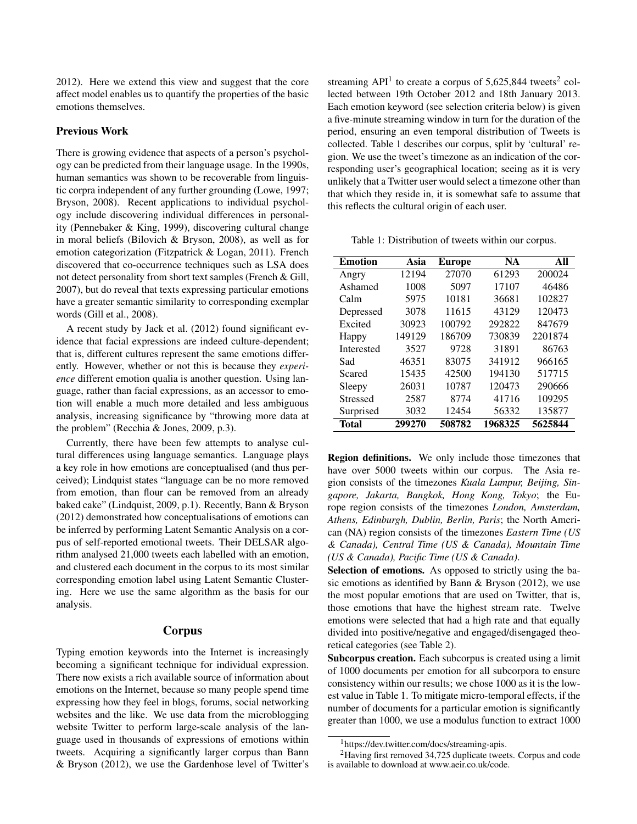2012). Here we extend this view and suggest that the core affect model enables us to quantify the properties of the basic emotions themselves.

# Previous Work

There is growing evidence that aspects of a person's psychology can be predicted from their language usage. In the 1990s, human semantics was shown to be recoverable from linguistic corpra independent of any further grounding (Lowe, 1997; Bryson, 2008). Recent applications to individual psychology include discovering individual differences in personality (Pennebaker & King, 1999), discovering cultural change in moral beliefs (Bilovich & Bryson, 2008), as well as for emotion categorization (Fitzpatrick & Logan, 2011). French discovered that co-occurrence techniques such as LSA does not detect personality from short text samples (French & Gill, 2007), but do reveal that texts expressing particular emotions have a greater semantic similarity to corresponding exemplar words (Gill et al., 2008).

A recent study by Jack et al. (2012) found significant evidence that facial expressions are indeed culture-dependent; that is, different cultures represent the same emotions differently. However, whether or not this is because they *experience* different emotion qualia is another question. Using language, rather than facial expressions, as an accessor to emotion will enable a much more detailed and less ambiguous analysis, increasing significance by "throwing more data at the problem" (Recchia & Jones, 2009, p.3).

Currently, there have been few attempts to analyse cultural differences using language semantics. Language plays a key role in how emotions are conceptualised (and thus perceived); Lindquist states "language can be no more removed from emotion, than flour can be removed from an already baked cake" (Lindquist, 2009, p.1). Recently, Bann & Bryson (2012) demonstrated how conceptualisations of emotions can be inferred by performing Latent Semantic Analysis on a corpus of self-reported emotional tweets. Their DELSAR algorithm analysed 21,000 tweets each labelled with an emotion, and clustered each document in the corpus to its most similar corresponding emotion label using Latent Semantic Clustering. Here we use the same algorithm as the basis for our analysis.

#### Corpus

Typing emotion keywords into the Internet is increasingly becoming a significant technique for individual expression. There now exists a rich available source of information about emotions on the Internet, because so many people spend time expressing how they feel in blogs, forums, social networking websites and the like. We use data from the microblogging website Twitter to perform large-scale analysis of the language used in thousands of expressions of emotions within tweets. Acquiring a significantly larger corpus than Bann & Bryson (2012), we use the Gardenhose level of Twitter's

streaming  $API<sup>1</sup>$  to create a corpus of 5,625,844 tweets<sup>2</sup> collected between 19th October 2012 and 18th January 2013. Each emotion keyword (see selection criteria below) is given a five-minute streaming window in turn for the duration of the period, ensuring an even temporal distribution of Tweets is collected. Table 1 describes our corpus, split by 'cultural' region. We use the tweet's timezone as an indication of the corresponding user's geographical location; seeing as it is very unlikely that a Twitter user would select a timezone other than that which they reside in, it is somewhat safe to assume that this reflects the cultural origin of each user.

Table 1: Distribution of tweets within our corpus.

| <b>Emotion</b>  | Asia   | <b>Europe</b> | <b>NA</b> | All     |
|-----------------|--------|---------------|-----------|---------|
| Angry           | 12194  | 27070         | 61293     | 200024  |
| Ashamed         | 1008   | 5097          | 17107     | 46486   |
| Calm            | 5975   | 10181         | 36681     | 102827  |
| Depressed       | 3078   | 11615         | 43129     | 120473  |
| Excited         | 30923  | 100792        | 292822    | 847679  |
| Happy           | 149129 | 186709        | 730839    | 2201874 |
| Interested      | 3527   | 9728          | 31891     | 86763   |
| Sad             | 46351  | 83075         | 341912    | 966165  |
| Scared          | 15435  | 42500         | 194130    | 517715  |
| Sleepy          | 26031  | 10787         | 120473    | 290666  |
| <b>Stressed</b> | 2587   | 8774          | 41716     | 109295  |
| Surprised       | 3032   | 12454         | 56332     | 135877  |
| Total           | 299270 | 508782        | 1968325   | 5625844 |

Region definitions. We only include those timezones that have over 5000 tweets within our corpus. The Asia region consists of the timezones *Kuala Lumpur, Beijing, Singapore, Jakarta, Bangkok, Hong Kong, Tokyo*; the Europe region consists of the timezones *London, Amsterdam, Athens, Edinburgh, Dublin, Berlin, Paris*; the North American (NA) region consists of the timezones *Eastern Time (US & Canada), Central Time (US & Canada), Mountain Time (US & Canada), Pacific Time (US & Canada)*.

Selection of emotions. As opposed to strictly using the basic emotions as identified by Bann & Bryson (2012), we use the most popular emotions that are used on Twitter, that is, those emotions that have the highest stream rate. Twelve emotions were selected that had a high rate and that equally divided into positive/negative and engaged/disengaged theoretical categories (see Table 2).

Subcorpus creation. Each subcorpus is created using a limit of 1000 documents per emotion for all subcorpora to ensure consistency within our results; we chose 1000 as it is the lowest value in Table 1. To mitigate micro-temporal effects, if the number of documents for a particular emotion is significantly greater than 1000, we use a modulus function to extract 1000

<sup>1</sup>https://dev.twitter.com/docs/streaming-apis.

<sup>2</sup>Having first removed 34,725 duplicate tweets. Corpus and code is available to download at www.aeir.co.uk/code.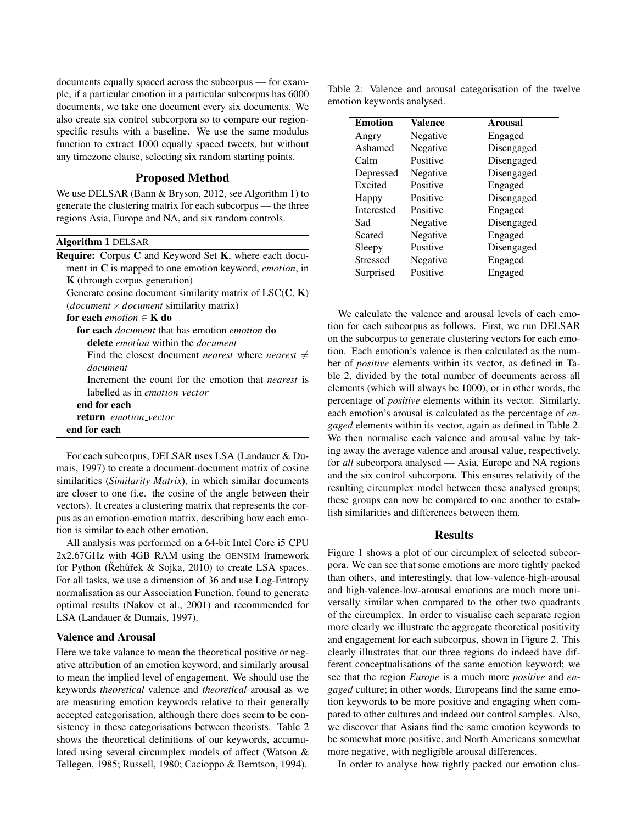documents equally spaced across the subcorpus — for example, if a particular emotion in a particular subcorpus has 6000 documents, we take one document every six documents. We also create six control subcorpora so to compare our regionspecific results with a baseline. We use the same modulus function to extract 1000 equally spaced tweets, but without any timezone clause, selecting six random starting points.

## Proposed Method

We use DELSAR (Bann & Bryson, 2012, see Algorithm 1) to generate the clustering matrix for each subcorpus — the three regions Asia, Europe and NA, and six random controls.

Algorithm 1 DELSAR

| <b>Require:</b> Corpus C and Keyword Set <b>K</b> , where each docu-      |
|---------------------------------------------------------------------------|
| ment in $C$ is mapped to one emotion keyword, <i>emotion</i> , in         |
| K (through corpus generation)                                             |
| Generate cosine document similarity matrix of $LSC(C, K)$                 |
| ( <i>document</i> $\times$ <i>document</i> similarity matrix)             |
| for each <i>emotion</i> $\in$ <b>K</b> do                                 |
| <b>for each</b> <i>document</i> that has emotion <i>emotion</i> <b>do</b> |
| <b>delete</b> <i>emotion</i> within the <i>document</i>                   |
| Find the closest document <i>nearest</i> where <i>nearest</i> $\neq$      |
| document                                                                  |
| Increment the count for the emotion that <i>nearest</i> is                |
| labelled as in <i>emotion_vector</i>                                      |
| end for each                                                              |
| <b>return</b> emotion vector                                              |
| end for each                                                              |
|                                                                           |

For each subcorpus, DELSAR uses LSA (Landauer & Dumais, 1997) to create a document-document matrix of cosine similarities (*Similarity Matrix*), in which similar documents are closer to one (i.e. the cosine of the angle between their vectors). It creates a clustering matrix that represents the corpus as an emotion-emotion matrix, describing how each emotion is similar to each other emotion.

All analysis was performed on a 64-bit Intel Core i5 CPU 2x2.67GHz with 4GB RAM using the GENSIM framework for Python (Rehûřek & Sojka, 2010) to create LSA spaces. For all tasks, we use a dimension of 36 and use Log-Entropy normalisation as our Association Function, found to generate optimal results (Nakov et al., 2001) and recommended for LSA (Landauer & Dumais, 1997).

## Valence and Arousal

Here we take valance to mean the theoretical positive or negative attribution of an emotion keyword, and similarly arousal to mean the implied level of engagement. We should use the keywords *theoretical* valence and *theoretical* arousal as we are measuring emotion keywords relative to their generally accepted categorisation, although there does seem to be consistency in these categorisations between theorists. Table 2 shows the theoretical definitions of our keywords, accumulated using several circumplex models of affect (Watson & Tellegen, 1985; Russell, 1980; Cacioppo & Berntson, 1994).

Table 2: Valence and arousal categorisation of the twelve emotion keywords analysed.

| <b>Emotion</b>    | Valence  | <b>Arousal</b> |
|-------------------|----------|----------------|
| Angry             | Negative | Engaged        |
| Ashamed           | Negative | Disengaged     |
| Calm              | Positive | Disengaged     |
| Depressed         | Negative | Disengaged     |
| Excited           | Positive | Engaged        |
| Happy             | Positive | Disengaged     |
| <b>Interested</b> | Positive | Engaged        |
| Sad               | Negative | Disengaged     |
| Scared            | Negative | Engaged        |
| Sleepy            | Positive | Disengaged     |
| <b>Stressed</b>   | Negative | Engaged        |
| Surprised         | Positive | Engaged        |

We calculate the valence and arousal levels of each emotion for each subcorpus as follows. First, we run DELSAR on the subcorpus to generate clustering vectors for each emotion. Each emotion's valence is then calculated as the number of *positive* elements within its vector, as defined in Table 2, divided by the total number of documents across all elements (which will always be 1000), or in other words, the percentage of *positive* elements within its vector. Similarly, each emotion's arousal is calculated as the percentage of *engaged* elements within its vector, again as defined in Table 2. We then normalise each valence and arousal value by taking away the average valence and arousal value, respectively, for *all* subcorpora analysed — Asia, Europe and NA regions and the six control subcorpora. This ensures relativity of the resulting circumplex model between these analysed groups; these groups can now be compared to one another to establish similarities and differences between them.

## **Results**

Figure 1 shows a plot of our circumplex of selected subcorpora. We can see that some emotions are more tightly packed than others, and interestingly, that low-valence-high-arousal and high-valence-low-arousal emotions are much more universally similar when compared to the other two quadrants of the circumplex. In order to visualise each separate region more clearly we illustrate the aggregate theoretical positivity and engagement for each subcorpus, shown in Figure 2. This clearly illustrates that our three regions do indeed have different conceptualisations of the same emotion keyword; we see that the region *Europe* is a much more *positive* and *engaged* culture; in other words, Europeans find the same emotion keywords to be more positive and engaging when compared to other cultures and indeed our control samples. Also, we discover that Asians find the same emotion keywords to be somewhat more positive, and North Americans somewhat more negative, with negligible arousal differences.

In order to analyse how tightly packed our emotion clus-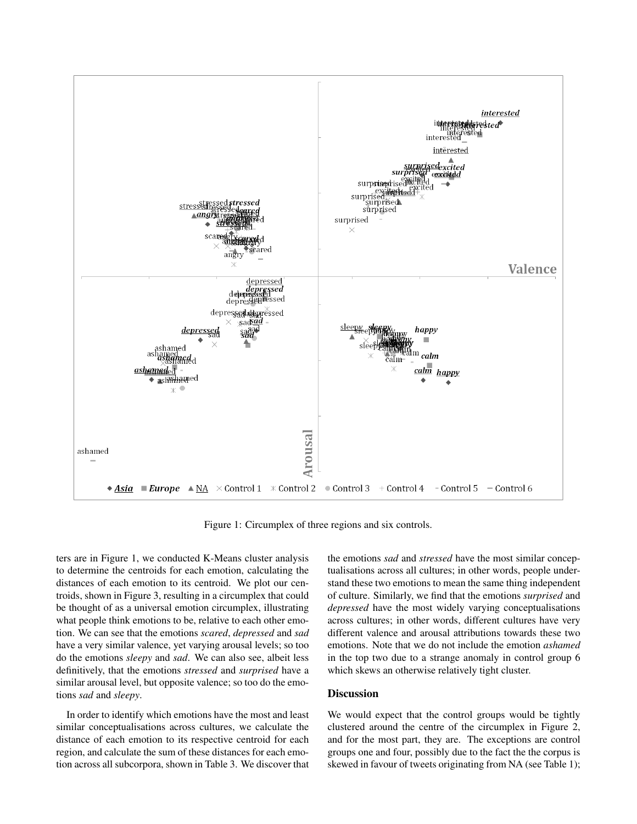

Figure 1: Circumplex of three regions and six controls.

ters are in Figure 1, we conducted K-Means cluster analysis to determine the centroids for each emotion, calculating the distances of each emotion to its centroid. We plot our centroids, shown in Figure 3, resulting in a circumplex that could be thought of as a universal emotion circumplex, illustrating what people think emotions to be, relative to each other emotion. We can see that the emotions *scared*, *depressed* and *sad* have a very similar valence, yet varying arousal levels; so too do the emotions *sleepy* and *sad*. We can also see, albeit less definitively, that the emotions *stressed* and *surprised* have a similar arousal level, but opposite valence; so too do the emotions *sad* and *sleepy*.

In order to identify which emotions have the most and least similar conceptualisations across cultures, we calculate the distance of each emotion to its respective centroid for each region, and calculate the sum of these distances for each emotion across all subcorpora, shown in Table 3. We discover that the emotions *sad* and *stressed* have the most similar conceptualisations across all cultures; in other words, people understand these two emotions to mean the same thing independent of culture. Similarly, we find that the emotions *surprised* and *depressed* have the most widely varying conceptualisations across cultures; in other words, different cultures have very different valence and arousal attributions towards these two emotions. Note that we do not include the emotion *ashamed* in the top two due to a strange anomaly in control group 6 which skews an otherwise relatively tight cluster.

#### **Discussion**

We would expect that the control groups would be tightly clustered around the centre of the circumplex in Figure 2, and for the most part, they are. The exceptions are control groups one and four, possibly due to the fact the the corpus is skewed in favour of tweets originating from NA (see Table 1);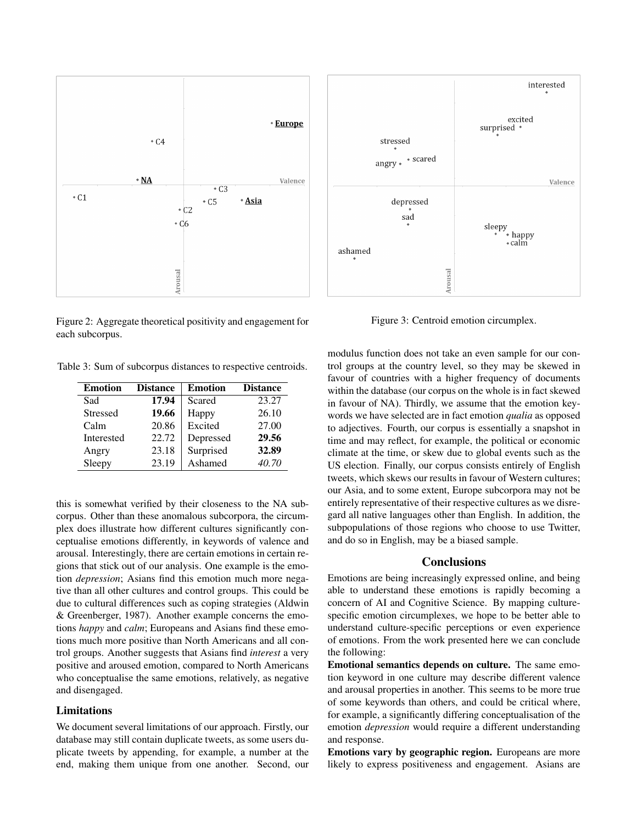

Figure 2: Aggregate theoretical positivity and engagement for each subcorpus.

Table 3: Sum of subcorpus distances to respective centroids.

| <b>Emotion</b>  | <b>Distance</b> | <b>Emotion</b> | <b>Distance</b> |
|-----------------|-----------------|----------------|-----------------|
| Sad             | 17.94           | Scared         | 23.27           |
| <b>Stressed</b> | 19.66           | Happy          | 26.10           |
| Calm            | 20.86           | Excited        | 27.00           |
| Interested      | 22.72           | Depressed      | 29.56           |
| Angry           | 23.18           | Surprised      | 32.89           |
| Sleepy          | 23.19           | Ashamed        | 40.70           |

this is somewhat verified by their closeness to the NA subcorpus. Other than these anomalous subcorpora, the circumplex does illustrate how different cultures significantly conceptualise emotions differently, in keywords of valence and arousal. Interestingly, there are certain emotions in certain regions that stick out of our analysis. One example is the emotion *depression*; Asians find this emotion much more negative than all other cultures and control groups. This could be due to cultural differences such as coping strategies (Aldwin & Greenberger, 1987). Another example concerns the emotions *happy* and *calm*; Europeans and Asians find these emotions much more positive than North Americans and all control groups. Another suggests that Asians find *interest* a very positive and aroused emotion, compared to North Americans who conceptualise the same emotions, relatively, as negative and disengaged.

### Limitations

We document several limitations of our approach. Firstly, our database may still contain duplicate tweets, as some users duplicate tweets by appending, for example, a number at the end, making them unique from one another. Second, our



Figure 3: Centroid emotion circumplex.

modulus function does not take an even sample for our control groups at the country level, so they may be skewed in favour of countries with a higher frequency of documents within the database (our corpus on the whole is in fact skewed in favour of NA). Thirdly, we assume that the emotion keywords we have selected are in fact emotion *qualia* as opposed to adjectives. Fourth, our corpus is essentially a snapshot in time and may reflect, for example, the political or economic climate at the time, or skew due to global events such as the US election. Finally, our corpus consists entirely of English tweets, which skews our results in favour of Western cultures; our Asia, and to some extent, Europe subcorpora may not be entirely representative of their respective cultures as we disregard all native languages other than English. In addition, the subpopulations of those regions who choose to use Twitter, and do so in English, may be a biased sample.

## **Conclusions**

Emotions are being increasingly expressed online, and being able to understand these emotions is rapidly becoming a concern of AI and Cognitive Science. By mapping culturespecific emotion circumplexes, we hope to be better able to understand culture-specific perceptions or even experience of emotions. From the work presented here we can conclude the following:

Emotional semantics depends on culture. The same emotion keyword in one culture may describe different valence and arousal properties in another. This seems to be more true of some keywords than others, and could be critical where, for example, a significantly differing conceptualisation of the emotion *depression* would require a different understanding and response.

Emotions vary by geographic region. Europeans are more likely to express positiveness and engagement. Asians are